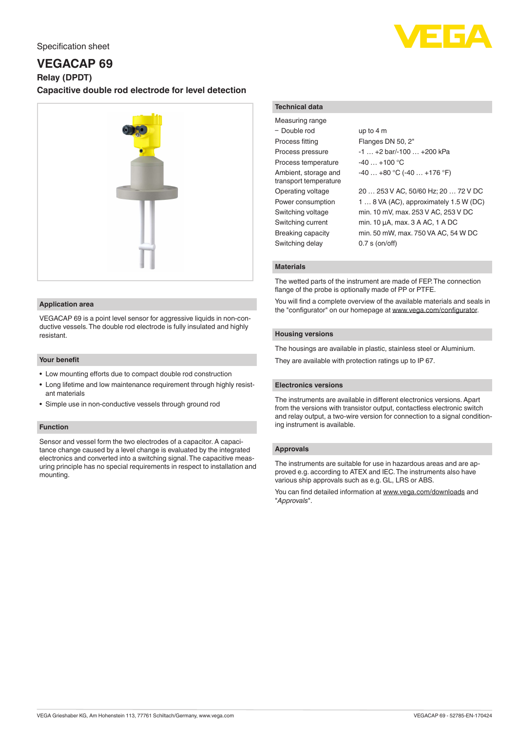# Specification sheet

# **VEGACAP 69**

**Relay (DPDT)**

# **Capacitive double rod electrode for level detection**



#### **Application area**

VEGACAP 69 is a point level sensor for aggressive liquids in non-conductive vessels. The double rod electrode is fully insulated and highly resistant.

### **Your benefit**

- Low mounting efforts due to compact double rod construction
- Long lifetime and low maintenance requirement through highly resistant materials
- Simple use in non-conductive vessels through ground rod

#### **Function**

Sensor and vessel form the two electrodes of a capacitor. A capacitance change caused by a level change is evaluated by the integrated electronics and converted into a switching signal. The capacitive measuring principle has no special requirements in respect to installation and mounting.

#### **Technical data**

| Measuring range                               |                                        |
|-----------------------------------------------|----------------------------------------|
| - Double rod                                  | up to $4m$                             |
| Process fitting                               | Flanges DN 50, 2"                      |
| Process pressure                              | $-1$ $+2$ bar/ $-100$ $+200$ kPa       |
| Process temperature                           | $-40+100$ °C                           |
| Ambient, storage and<br>transport temperature | $-40+80$ °C ( $-40+176$ °F)            |
| Operating voltage                             | 20  253 V AC, 50/60 Hz; 20  72 V DC    |
| Power consumption                             | 1  8 VA (AC), approximately 1.5 W (DC) |
| Switching voltage                             | min. 10 mV, max. 253 V AC, 253 V DC    |
| Switching current                             | min. 10 µA, max. 3 A AC, 1 A DC        |
| <b>Breaking capacity</b>                      | min. 50 mW, max. 750 VA AC, 54 W DC    |
| Switching delay                               | $0.7$ s (on/off)                       |

#### **Materials**

The wetted parts of the instrument are made of FEP. The connection flange of the probe is optionally made of PP or PTFE.

You will find a complete overview of the available materials and seals in the "configurator" on our homepage at [www.vega.com/configurator](http://www.vega.com/configurator).

### **Housing versions**

The housings are available in plastic, stainless steel or Aluminium. They are available with protection ratings up to IP 67.

#### **Electronics versions**

The instruments are available in different electronics versions. Apart from the versions with transistor output, contactless electronic switch and relay output, a two-wire version for connection to a signal conditioning instrument is available.

#### **Approvals**

The instruments are suitable for use in hazardous areas and are approved e.g. according to ATEX and IEC. The instruments also have various ship approvals such as e.g. GL, LRS or ABS.

You can find detailed information at [www.vega.com/downloads](http://www.vega.com/downloads) and "*Approvals*".